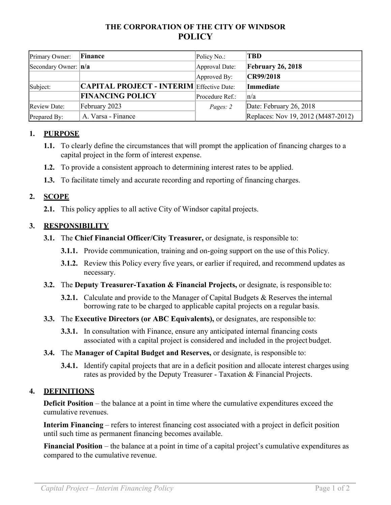# **THE CORPORATION OF THE CITY OF WINDSOR POLICY**

| Primary Owner:        | Finance                                          | Policy No.:     | TBD                                |
|-----------------------|--------------------------------------------------|-----------------|------------------------------------|
| Secondary Owner:  n/a |                                                  | Approval Date:  | <b>February 26, 2018</b>           |
|                       |                                                  | Approved By:    | CR99/2018                          |
| Subject:              | <b>CAPITAL PROJECT - INTERIM Effective Date:</b> |                 | Immediate                          |
|                       | <b>FINANCING POLICY</b>                          | Procedure Ref.: | $\ln/a$                            |
| <b>Review Date:</b>   | February 2023                                    | Pages: 2        | Date: February 26, 2018            |
| Prepared By:          | A. Varsa - Finance                               |                 | Replaces: Nov 19, 2012 (M487-2012) |

# **1. PURPOSE**

- **1.1.** To clearly define the circumstances that will prompt the application of financing charges to a capital project in the form of interest expense.
- **1.2.** To provide a consistent approach to determining interest rates to be applied.
- **1.3.** To facilitate timely and accurate recording and reporting of financing charges.

### **2. SCOPE**

**2.1.** This policy applies to all active City of Windsor capital projects.

### **3. RESPONSIBILITY**

- **3.1.** The **Chief Financial Officer/City Treasurer,** or designate, is responsible to:
	- **3.1.1.** Provide communication, training and on-going support on the use of this Policy.
	- **3.1.2.** Review this Policy every five years, or earlier if required, and recommend updates as necessary.
- **3.2.** The **Deputy Treasurer-Taxation & Financial Projects,** or designate, is responsible to:
	- **3.2.1.** Calculate and provide to the Manager of Capital Budgets & Reserves the internal borrowing rate to be charged to applicable capital projects on a regular basis.
- **3.3.** The **Executive Directors (or ABC Equivalents),** or designates, are responsible to:
	- **3.3.1.** In consultation with Finance, ensure any anticipated internal financing costs associated with a capital project is considered and included in the project budget.
- **3.4.** The **Manager of Capital Budget and Reserves,** or designate, is responsible to:
	- **3.4.1.** Identify capital projects that are in a deficit position and allocate interest charges using rates as provided by the Deputy Treasurer - Taxation & Financial Projects.

#### **4. DEFINITIONS**

**Deficit Position** – the balance at a point in time where the cumulative expenditures exceed the cumulative revenues.

**Interim Financing** – refers to interest financing cost associated with a project in deficit position until such time as permanent financing becomes available.

**Financial Position** – the balance at a point in time of a capital project's cumulative expenditures as compared to the cumulative revenue.